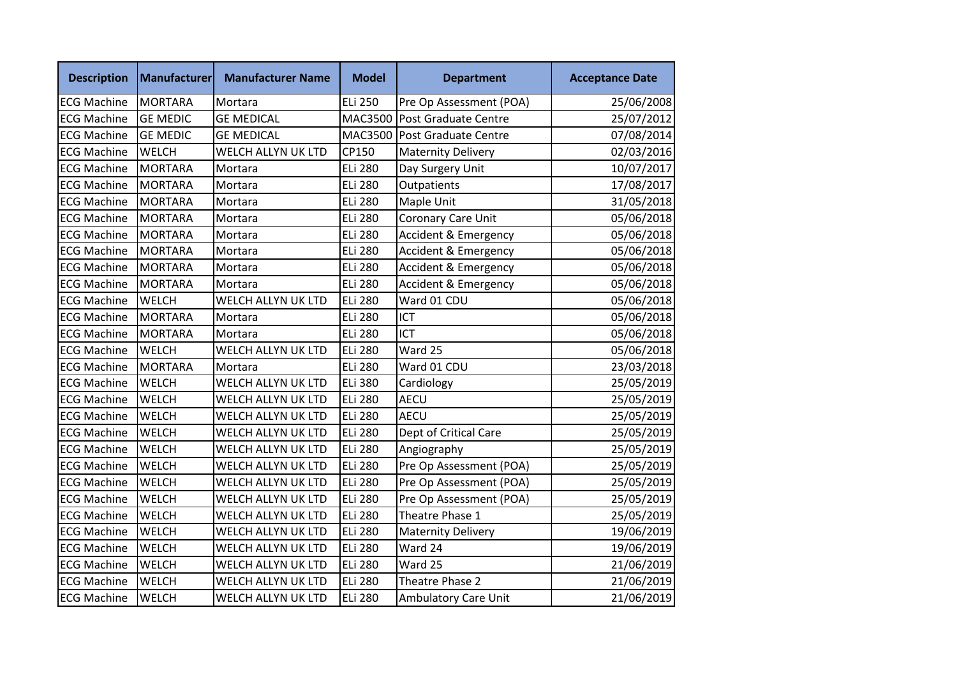| <b>Description</b> | Manufacturer    | <b>Manufacturer Name</b> | <b>Model</b>   | <b>Department</b>               | <b>Acceptance Date</b> |
|--------------------|-----------------|--------------------------|----------------|---------------------------------|------------------------|
| <b>ECG Machine</b> | <b>MORTARA</b>  | Mortara                  | ELi 250        | Pre Op Assessment (POA)         | 25/06/2008             |
| <b>ECG Machine</b> | <b>GE MEDIC</b> | <b>GE MEDICAL</b>        |                | MAC3500 Post Graduate Centre    | 25/07/2012             |
| <b>ECG Machine</b> | <b>GE MEDIC</b> | <b>GE MEDICAL</b>        |                | MAC3500 Post Graduate Centre    | 07/08/2014             |
| <b>ECG Machine</b> | <b>WELCH</b>    | WELCH ALLYN UK LTD       | CP150          | <b>Maternity Delivery</b>       | 02/03/2016             |
| <b>ECG Machine</b> | <b>MORTARA</b>  | Mortara                  | <b>ELi 280</b> | Day Surgery Unit                | 10/07/2017             |
| <b>ECG Machine</b> | <b>MORTARA</b>  | Mortara                  | ELi 280        | Outpatients                     | 17/08/2017             |
| <b>ECG Machine</b> | <b>MORTARA</b>  | Mortara                  | ELi 280        | Maple Unit                      | 31/05/2018             |
| <b>ECG Machine</b> | <b>MORTARA</b>  | Mortara                  | <b>ELi 280</b> | Coronary Care Unit              | 05/06/2018             |
| <b>ECG Machine</b> | <b>MORTARA</b>  | Mortara                  | <b>ELi 280</b> | Accident & Emergency            | 05/06/2018             |
| <b>ECG Machine</b> | <b>MORTARA</b>  | Mortara                  | <b>ELi 280</b> | <b>Accident &amp; Emergency</b> | 05/06/2018             |
| <b>ECG Machine</b> | <b>MORTARA</b>  | Mortara                  | <b>ELi 280</b> | <b>Accident &amp; Emergency</b> | 05/06/2018             |
| <b>ECG Machine</b> | <b>MORTARA</b>  | Mortara                  | ELi 280        | <b>Accident &amp; Emergency</b> | 05/06/2018             |
| <b>ECG Machine</b> | <b>WELCH</b>    | WELCH ALLYN UK LTD       | <b>ELi 280</b> | Ward 01 CDU                     | 05/06/2018             |
| <b>ECG Machine</b> | <b>MORTARA</b>  | Mortara                  | ELi 280        | <b>ICT</b>                      | 05/06/2018             |
| <b>ECG Machine</b> | <b>MORTARA</b>  | Mortara                  | <b>ELi 280</b> | <b>ICT</b>                      | 05/06/2018             |
| <b>ECG Machine</b> | <b>WELCH</b>    | WELCH ALLYN UK LTD       | <b>ELi 280</b> | Ward 25                         | 05/06/2018             |
| <b>ECG Machine</b> | <b>MORTARA</b>  | Mortara                  | <b>ELi 280</b> | Ward 01 CDU                     | 23/03/2018             |
| <b>ECG Machine</b> | <b>WELCH</b>    | WELCH ALLYN UK LTD       | <b>ELi 380</b> | Cardiology                      | 25/05/2019             |
| <b>ECG Machine</b> | <b>WELCH</b>    | WELCH ALLYN UK LTD       | <b>ELi 280</b> | AECU                            | 25/05/2019             |
| <b>ECG Machine</b> | <b>WELCH</b>    | WELCH ALLYN UK LTD       | <b>ELi 280</b> | <b>AECU</b>                     | 25/05/2019             |
| <b>ECG Machine</b> | <b>WELCH</b>    | WELCH ALLYN UK LTD       | <b>ELi 280</b> | Dept of Critical Care           | 25/05/2019             |
| <b>ECG Machine</b> | <b>WELCH</b>    | WELCH ALLYN UK LTD       | <b>ELi 280</b> | Angiography                     | 25/05/2019             |
| <b>ECG Machine</b> | <b>WELCH</b>    | WELCH ALLYN UK LTD       | <b>ELi 280</b> | Pre Op Assessment (POA)         | 25/05/2019             |
| <b>ECG Machine</b> | <b>WELCH</b>    | WELCH ALLYN UK LTD       | <b>ELi 280</b> | Pre Op Assessment (POA)         | 25/05/2019             |
| <b>ECG Machine</b> | <b>WELCH</b>    | WELCH ALLYN UK LTD       | <b>ELi 280</b> | Pre Op Assessment (POA)         | 25/05/2019             |
| <b>ECG Machine</b> | <b>WELCH</b>    | WELCH ALLYN UK LTD       | <b>ELi 280</b> | Theatre Phase 1                 | 25/05/2019             |
| <b>ECG Machine</b> | <b>WELCH</b>    | WELCH ALLYN UK LTD       | <b>ELi 280</b> | <b>Maternity Delivery</b>       | 19/06/2019             |
| <b>ECG Machine</b> | <b>WELCH</b>    | WELCH ALLYN UK LTD       | <b>ELi 280</b> | Ward 24                         | 19/06/2019             |
| <b>ECG Machine</b> | <b>WELCH</b>    | WELCH ALLYN UK LTD       | <b>ELi 280</b> | Ward 25                         | 21/06/2019             |
| <b>ECG Machine</b> | <b>WELCH</b>    | WELCH ALLYN UK LTD       | <b>ELi 280</b> | Theatre Phase 2                 | 21/06/2019             |
| <b>ECG Machine</b> | <b>WELCH</b>    | WELCH ALLYN UK LTD       | <b>ELi 280</b> | <b>Ambulatory Care Unit</b>     | 21/06/2019             |